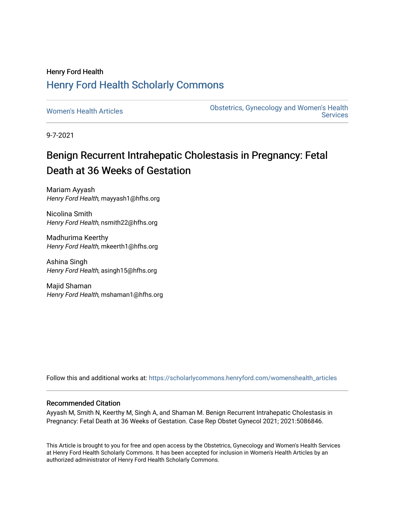# Henry Ford Health [Henry Ford Health Scholarly Commons](https://scholarlycommons.henryford.com/)

[Women's Health Articles](https://scholarlycommons.henryford.com/womenshealth_articles) **Constructed Articles** Obstetrics, Gynecology and Women's Health **Services** 

9-7-2021

# Benign Recurrent Intrahepatic Cholestasis in Pregnancy: Fetal Death at 36 Weeks of Gestation

Mariam Ayyash Henry Ford Health, mayyash1@hfhs.org

Nicolina Smith Henry Ford Health, nsmith22@hfhs.org

Madhurima Keerthy Henry Ford Health, mkeerth1@hfhs.org

Ashina Singh Henry Ford Health, asingh15@hfhs.org

Majid Shaman Henry Ford Health, mshaman1@hfhs.org

Follow this and additional works at: [https://scholarlycommons.henryford.com/womenshealth\\_articles](https://scholarlycommons.henryford.com/womenshealth_articles?utm_source=scholarlycommons.henryford.com%2Fwomenshealth_articles%2F106&utm_medium=PDF&utm_campaign=PDFCoverPages) 

## Recommended Citation

Ayyash M, Smith N, Keerthy M, Singh A, and Shaman M. Benign Recurrent Intrahepatic Cholestasis in Pregnancy: Fetal Death at 36 Weeks of Gestation. Case Rep Obstet Gynecol 2021; 2021:5086846.

This Article is brought to you for free and open access by the Obstetrics, Gynecology and Women's Health Services at Henry Ford Health Scholarly Commons. It has been accepted for inclusion in Women's Health Articles by an authorized administrator of Henry Ford Health Scholarly Commons.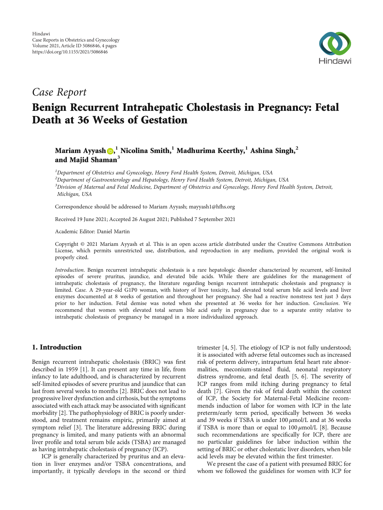

# Case Report

# Benign Recurrent Intrahepatic Cholestasis in Pregnancy: Fetal Death at 36 Weeks of Gestation

Mariam Ayyash [,](https://orcid.org/0000-0002-0313-7438) **<sup>1</sup>** Nicolina Smith,**<sup>1</sup>** Madhurima Keerthy,**<sup>1</sup>** Ashina Singh,**<sup>2</sup>** and Majid Shaman**<sup>3</sup>**

<sup>1</sup>Department of Obstetrics and Gynecology, Henry Ford Health System, Detroit, Michigan, USA

 $^2$ Department of Gastroenterology and Hepatology, Henry Ford Health System, Detroit, Michigan, USA

<sup>3</sup> Division of Maternal and Fetal Medicine, Department of Obstetrics and Gynecology, Henry Ford Health System, Detroit, Michigan, USA

Correspondence should be addressed to Mariam Ayyash; mayyash1@hfhs.org

Received 19 June 2021; Accepted 26 August 2021; Published 7 September 2021

Academic Editor: Daniel Martin

Copyright © 2021 Mariam Ayyash et al. This is an open access article distributed under the [Creative Commons Attribution](https://creativecommons.org/licenses/by/4.0/) [License,](https://creativecommons.org/licenses/by/4.0/) which permits unrestricted use, distribution, and reproduction in any medium, provided the original work is properly cited.

Introduction. Benign recurrent intrahepatic cholestasis is a rare hepatologic disorder characterized by recurrent, self-limited episodes of severe pruritus, jaundice, and elevated bile acids. While there are guidelines for the management of intrahepatic cholestasis of pregnancy, the literature regarding benign recurrent intrahepatic cholestasis and pregnancy is limited. Case. A 29-year-old G1P0 woman, with history of liver toxicity, had elevated total serum bile acid levels and liver enzymes documented at 8 weeks of gestation and throughout her pregnancy. She had a reactive nonstress test just 3 days prior to her induction. Fetal demise was noted when she presented at 36 weeks for her induction. Conclusion. We recommend that women with elevated total serum bile acid early in pregnancy due to a separate entity relative to intrahepatic cholestasis of pregnancy be managed in a more individualized approach.

#### 1. Introduction

Benign recurrent intrahepatic cholestasis (BRIC) was first described in 1959 [[1\]](#page-4-0). It can present any time in life, from infancy to late adulthood, and is characterized by recurrent self-limited episodes of severe pruritus and jaundice that can last from several weeks to months [[2](#page-4-0)]. BRIC does not lead to progressive liver dysfunction and cirrhosis, but the symptoms associated with each attack may be associated with significant morbidity [\[2](#page-4-0)]. The pathophysiology of BRIC is poorly understood, and treatment remains empiric, primarily aimed at symptom relief [[3](#page-4-0)]. The literature addressing BRIC during pregnancy is limited, and many patients with an abnormal liver profile and total serum bile acids (TSBA) are managed as having intrahepatic cholestasis of pregnancy (ICP).

ICP is generally characterized by pruritus and an elevation in liver enzymes and/or TSBA concentrations, and importantly, it typically develops in the second or third

trimester [\[4](#page-4-0), [5\]](#page-4-0). The etiology of ICP is not fully understood; it is associated with adverse fetal outcomes such as increased risk of preterm delivery, intrapartum fetal heart rate abnormalities, meconium-stained fluid, neonatal respiratory distress syndrome, and fetal death [[5](#page-4-0), [6\]](#page-4-0). The severity of ICP ranges from mild itching during pregnancy to fetal death [\[7](#page-4-0)]. Given the risk of fetal death within the context of ICP, the Society for Maternal-Fetal Medicine recommends induction of labor for women with ICP in the late preterm/early term period, specifically between 36 weeks and 39 weeks if TSBA is under 100 *μ*mol/L and at 36 weeks if TSBA is more than or equal to 100 *μ*mol/L [\[8](#page-4-0)]. Because such recommendations are specifically for ICP, there are no particular guidelines for labor induction within the setting of BRIC or other cholestatic liver disorders, when bile acid levels may be elevated within the first trimester.

We present the case of a patient with presumed BRIC for whom we followed the guidelines for women with ICP for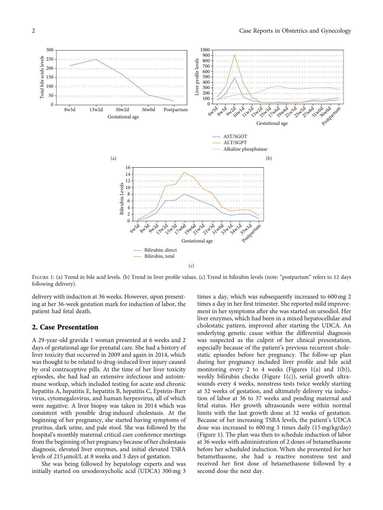<span id="page-2-0"></span>

FIGURE 1: (a) Trend in bile acid levels. (b) Trend in liver profile values. (c) Trend in bilirubin levels (note: "postpartum" refers to 12 days following delivery).

delivery with induction at 36 weeks. However, upon presenting at her 36-week gestation mark for induction of labor, the patient had fetal death.

#### 2. Case Presentation

A 29-year-old gravida 1 woman presented at 6 weeks and 2 days of gestational age for prenatal care. She had a history of liver toxicity that occurred in 2009 and again in 2014, which was thought to be related to drug-induced liver injury caused by oral contraceptive pills. At the time of her liver toxicity episodes, she had had an extensive infectious and autoimmune workup, which included testing for acute and chronic hepatitis A, hepatitis E, hepatitis B, hepatitis C, Epstein-Barr virus, cytomegalovirus, and human herpesvirus, all of which were negative. A liver biopsy was taken in 2014 which was consistent with possible drug-induced cholestasis. At the beginning of her pregnancy, she started having symptoms of pruritus, dark urine, and pale stool. She was followed by the hospital's monthly maternal critical care conference meetings from the beginning of her pregnancy because of her cholestasis diagnosis, elevated liver enzymes, and initial elevated TSBA levels of 215 *μ*mol/L at 8 weeks and 3 days of gestation.

She was being followed by hepatology experts and was initially started on ursodeoxycholic acid (UDCA) 300 mg 3

times a day, which was subsequently increased to 600 mg 2 times a day in her first trimester. She reported mild improvement in her symptoms after she was started on ursodiol. Her liver enzymes, which had been in a mixed hepatocellular and cholestatic pattern, improved after starting the UDCA. An underlying genetic cause within the differential diagnosis was suspected as the culprit of her clinical presentation, especially because of the patient's previous recurrent cholestatic episodes before her pregnancy. The follow-up plan during her pregnancy included liver profile and bile acid monitoring every 2 to 4 weeks (Figures 1(a) and 1(b)), weekly bilirubin checks (Figure 1(c)), serial growth ultrasounds every 4 weeks, nonstress tests twice weekly starting at 32 weeks of gestation, and ultimately delivery via induction of labor at 36 to 37 weeks and pending maternal and fetal status. Her growth ultrasounds were within normal limits with the last growth done at 32 weeks of gestation. Because of her increasing TSBA levels, the patient's UDCA dose was increased to 600 mg 3 times daily (15 mg/kg/day) (Figure 1). The plan was then to schedule induction of labor at 36 weeks with administration of 2 doses of betamethasone before her scheduled induction. When she presented for her betamethasone, she had a reactive nonstress test and received her first dose of betamethasone followed by a second dose the next day.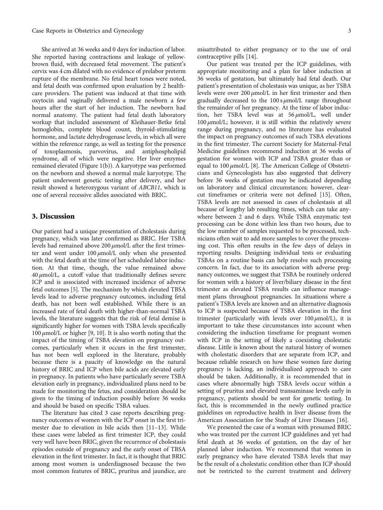She arrived at 36 weeks and 0 days for induction of labor. She reported having contractions and leakage of yellowbrown fluid, with decreased fetal movement. The patient's cervix was 4 cm dilated with no evidence of prelabor preterm rupture of the membrane. No fetal heart tones were noted, and fetal death was confirmed upon evaluation by 2 healthcare providers. The patient was induced at that time with oxytocin and vaginally delivered a male newborn a few hours after the start of her induction. The newborn had normal anatomy. The patient had fetal death laboratory workup that included assessment of Kleihauer-Betke fetal hemoglobin, complete blood count, thyroid-stimulating hormone, and lactate dehydrogenase levels, in which all were within the reference range, as well as testing for the presence of toxoplasmosis, parvovirus, and antiphospholipid syndrome, all of which were negative. Her liver enzymes remained elevated (Figure [1\(b\)\)](#page-2-0). A karyotype was performed on the newborn and showed a normal male karyotype. The patient underwent genetic testing after delivery, and her result showed a heterozygous variant of ABCB11, which is one of several recessive alleles associated with BRIC.

#### 3. Discussion

Our patient had a unique presentation of cholestasis during pregnancy, which was later confirmed as BRIC. Her TSBA levels had remained above 200 *μ*mol/L after the first trimester and went under 100 *μ*mol/L only when she presented with the fetal death at the time of her scheduled labor induction. At that time, though, the value remained above 40 *μ*mol/L, a cutoff value that traditionally defines severe ICP and is associated with increased incidence of adverse fetal outcomes [[5\]](#page-4-0). The mechanism by which elevated TBSA levels lead to adverse pregnancy outcomes, including fetal death, has not been well established. While there is an increased rate of fetal death with higher-than-normal TSBA levels, the literature suggests that the risk of fetal demise is significantly higher for women with TSBA levels specifically 100 *μ*mol/L or higher [\[9](#page-4-0), [10\]](#page-4-0). It is also worth noting that the impact of the timing of TSBA elevation on pregnancy outcomes, particularly when it occurs in the first trimester, has not been well explored in the literature, probably because there is a paucity of knowledge on the natural history of BRIC and ICP when bile acids are elevated early in pregnancy. In patients who have particularly severe TSBA elevation early in pregnancy, individualized plans need to be made for monitoring the fetus, and consideration should be given to the timing of induction possibly before 36 weeks and should be based on specific TSBA values.

The literature has cited 3 case reports describing pregnancy outcomes of women with the ICP onset in the first trimester due to elevation in bile acids then [[11](#page-4-0)–[13\]](#page-4-0). While these cases were labeled as first trimester ICP, they could very well have been BRIC, given the recurrence of cholestasis episodes outside of pregnancy and the early onset of TBSA elevation in the first trimester. In fact, it is thought that BRIC among most women is underdiagnosed because the two most common features of BRIC, pruritus and jaundice, are misattributed to either pregnancy or to the use of oral contraceptive pills [[14](#page-4-0)].

Our patient was treated per the ICP guidelines, with appropriate monitoring and a plan for labor induction at 36 weeks of gestation, but ultimately had fetal death. Our patient's presentation of cholestasis was unique, as her TSBA levels were over 200 *μ*mol/L in her first trimester and then gradually decreased to the 100 s *μ*mol/L range throughout the remainder of her pregnancy. At the time of labor induction, her TSBA level was at 56 *μ*mol/L, well under 100 *μ*mol/L; however, it is still within the relatively severe range during pregnancy, and no literature has evaluated the impact on pregnancy outcomes of such TSBA elevations in the first trimester. The current Society for Maternal-Fetal Medicine guidelines recommend induction at 36 weeks of gestation for women with ICP and TSBA greater than or equal to 100 *μ*mol/L [\[8](#page-4-0)]. The American College of Obstetricians and Gynecologists has also suggested that delivery before 36 weeks of gestation may be indicated depending on laboratory and clinical circumstances; however, clearcut timeframes or criteria were not defined [\[15](#page-4-0)]. Often, TSBA levels are not assessed in cases of cholestasis at all because of lengthy lab resulting times, which can take anywhere between 2 and 6 days. While TSBA enzymatic test processing can be done within less than two hours, due to the low number of samples requested to be processed, technicians often wait to add more samples to cover the processing cost. This often results in the few days of delays in reporting results. Designing individual tests or evaluating TSBAs on a routine basis can help resolve such processing concern. In fact, due to its association with adverse pregnancy outcomes, we suggest that TSBA be routinely ordered for women with a history of liver/biliary disease in the first trimester as elevated TSBA results can influence management plans throughout pregnancies. In situations where a patient's TSBA levels are known and an alternative diagnosis to ICP is suspected because of TSBA elevation in the first trimester (particularly with levels over 100 *μ*mol/L), it is important to take these circumstances into account when considering the induction timeframe for pregnant women with ICP in the setting of likely a coexisting cholestatic disease. Little is known about the natural history of women with cholestatic disorders that are separate from ICP, and because reliable research on how these women fare during pregnancy is lacking, an individualized approach to care should be taken. Additionally, it is recommended that in cases where abnormally high TSBA levels occur within a setting of pruritus and elevated transaminase levels early in pregnancy, patients should be sent for genetic testing. In fact, this is recommended in the newly outlined practice guidelines on reproductive health in liver disease from the American Association for the Study of Liver Diseases [[16\]](#page-4-0).

We presented the case of a woman with presumed BRIC who was treated per the current ICP guidelines and yet had fetal death at 36 weeks of gestation, on the day of her planned labor induction. We recommend that women in early pregnancy who have elevated TSBA levels that may be the result of a cholestatic condition other than ICP should not be restricted to the current treatment and delivery